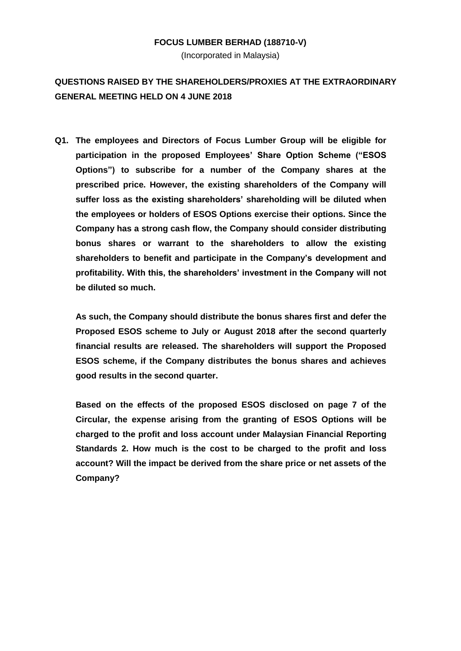## **FOCUS LUMBER BERHAD (188710-V)**

(Incorporated in Malaysia)

## **QUESTIONS RAISED BY THE SHAREHOLDERS/PROXIES AT THE EXTRAORDINARY GENERAL MEETING HELD ON 4 JUNE 2018**

**Q1. The employees and Directors of Focus Lumber Group will be eligible for participation in the proposed Employees' Share Option Scheme ("ESOS Options") to subscribe for a number of the Company shares at the prescribed price. However, the existing shareholders of the Company will suffer loss as the existing shareholders' shareholding will be diluted when the employees or holders of ESOS Options exercise their options. Since the Company has a strong cash flow, the Company should consider distributing bonus shares or warrant to the shareholders to allow the existing shareholders to benefit and participate in the Company's development and profitability. With this, the shareholders' investment in the Company will not be diluted so much.**

**As such, the Company should distribute the bonus shares first and defer the Proposed ESOS scheme to July or August 2018 after the second quarterly financial results are released. The shareholders will support the Proposed ESOS scheme, if the Company distributes the bonus shares and achieves good results in the second quarter.** 

**Based on the effects of the proposed ESOS disclosed on page 7 of the Circular, the expense arising from the granting of ESOS Options will be charged to the profit and loss account under Malaysian Financial Reporting Standards 2. How much is the cost to be charged to the profit and loss account? Will the impact be derived from the share price or net assets of the Company?**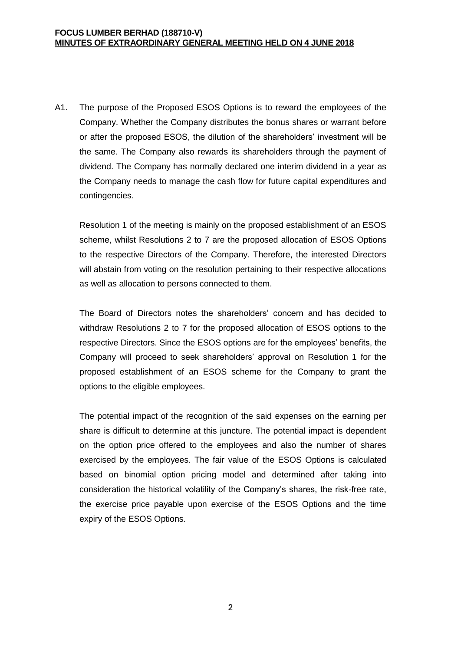A1. The purpose of the Proposed ESOS Options is to reward the employees of the Company. Whether the Company distributes the bonus shares or warrant before or after the proposed ESOS, the dilution of the shareholders' investment will be the same. The Company also rewards its shareholders through the payment of dividend. The Company has normally declared one interim dividend in a year as the Company needs to manage the cash flow for future capital expenditures and contingencies.

Resolution 1 of the meeting is mainly on the proposed establishment of an ESOS scheme, whilst Resolutions 2 to 7 are the proposed allocation of ESOS Options to the respective Directors of the Company. Therefore, the interested Directors will abstain from voting on the resolution pertaining to their respective allocations as well as allocation to persons connected to them.

The Board of Directors notes the shareholders' concern and has decided to withdraw Resolutions 2 to 7 for the proposed allocation of ESOS options to the respective Directors. Since the ESOS options are for the employees' benefits, the Company will proceed to seek shareholders' approval on Resolution 1 for the proposed establishment of an ESOS scheme for the Company to grant the options to the eligible employees.

The potential impact of the recognition of the said expenses on the earning per share is difficult to determine at this juncture. The potential impact is dependent on the option price offered to the employees and also the number of shares exercised by the employees. The fair value of the ESOS Options is calculated based on binomial option pricing model and determined after taking into consideration the historical volatility of the Company's shares, the risk-free rate, the exercise price payable upon exercise of the ESOS Options and the time expiry of the ESOS Options.